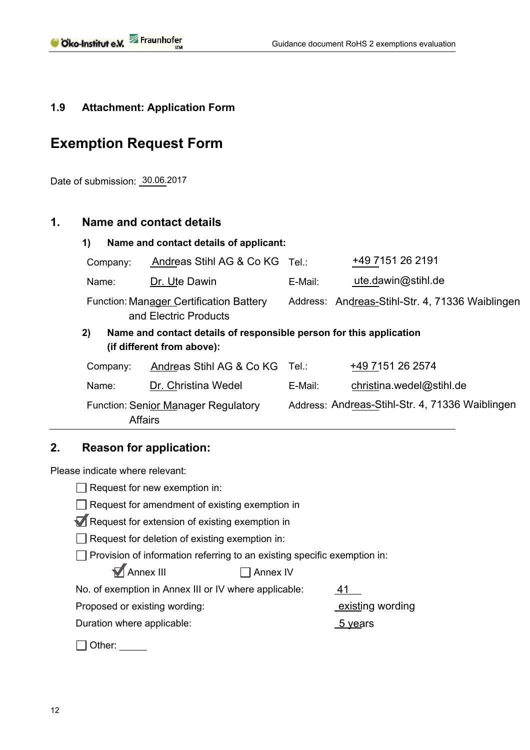# **1.9 Attachment: Application Form**

# **Exemption Request Form**

Date of submission: 30.06.2017

# **1. Name and contact details**

| 1)<br>Name and contact details of applicant:                                                            |                          |         |                                                 |  |  |
|---------------------------------------------------------------------------------------------------------|--------------------------|---------|-------------------------------------------------|--|--|
| Company:                                                                                                | Andreas Stihl AG & Co KG | ⊤el.:   | +49 7151 26 2191                                |  |  |
| Name:                                                                                                   | Dr. Ute Dawin            | E-Mail: | ute.dawin@stihl.de                              |  |  |
| <b>Function: Manager Certification Battery</b><br>and Electric Products                                 |                          |         | Address: Andreas-Stihl-Str. 4, 71336 Waiblingen |  |  |
| Name and contact details of responsible person for this application<br>2)<br>(if different from above): |                          |         |                                                 |  |  |
| Company:                                                                                                | Andreas Stihl AG & Co KG | Tel∴    | +49 7151 26 2574                                |  |  |
| Name:                                                                                                   | Dr. Christina Wedel      | E-Mail: | christina.wedel@stihl.de                        |  |  |
| <b>Function: Senior Manager Regulatory</b><br><b>Affairs</b>                                            |                          |         | Address: Andreas-Stihl-Str. 4, 71336 Waiblingen |  |  |

# **2. Reason for application:**

Please indicate where relevant:

| Request for new exemption in:                                            |                  |  |  |  |
|--------------------------------------------------------------------------|------------------|--|--|--|
| Request for amendment of existing exemption in                           |                  |  |  |  |
| Request for extension of existing exemption in                           |                  |  |  |  |
| Request for deletion of existing exemption in:                           |                  |  |  |  |
| Provision of information referring to an existing specific exemption in: |                  |  |  |  |
| MAnnex III<br>Annex IV                                                   |                  |  |  |  |
| No. of exemption in Annex III or IV where applicable:                    | 41               |  |  |  |
| Proposed or existing wording:                                            | existing wording |  |  |  |
| Duration where applicable:                                               | 5 years          |  |  |  |
| ≀ther:                                                                   |                  |  |  |  |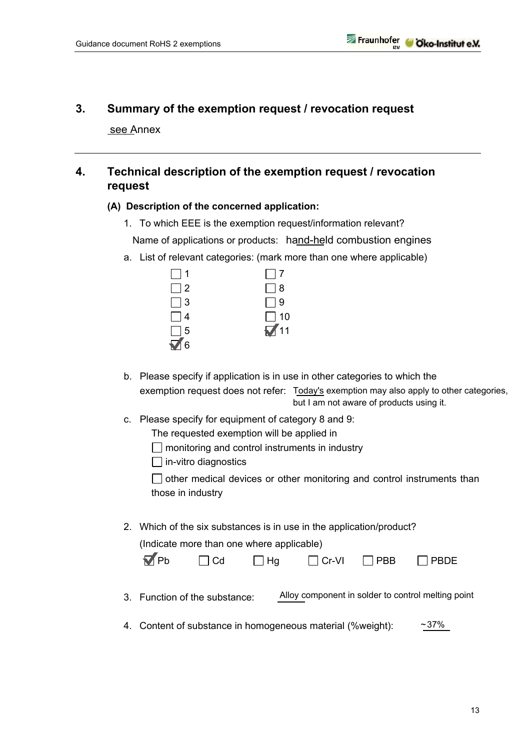# **3. Summary of the exemption request / revocation request**

see Annex

## **4. Technical description of the exemption request / revocation request**

#### **(A) Description of the concerned application:**

- 1. To which EEE is the exemption request/information relevant? Name of applications or products: hand-held combustion engines
- a. List of relevant categories: (mark more than one where applicable)

| $\Box$ 1   | $\Box$ 7    |
|------------|-------------|
| $\Box$ 2   | $\Box$ 8    |
| $\Box$ 3   | $\Box$ 9    |
| $\Box$ 4   | $\Box$ 10   |
| $\Box$ 5   | $\sqrt{11}$ |
| $\sqrt{6}$ |             |

- b. Please specify if application is in use in other categories to which the exemption request does not refer: Today's exemption may also apply to other categories, but I am not aware of products using it.
- c. Please specify for equipment of category 8 and 9:
	- The requested exemption will be applied in
	- $\Box$  monitoring and control instruments in industry
	- $\Box$  in-vitro diagnostics

 $\Box$  other medical devices or other monitoring and control instruments than those in industry

2. Which of the six substances is in use in the application/product?

(Indicate more than one where applicable)

| $\nabla$ Pb | $\Box$ Cd | $\Box$ Hg | $\Box$ Cr-VI | $\Box$ PBB | $\Box$ PBDE |
|-------------|-----------|-----------|--------------|------------|-------------|
|-------------|-----------|-----------|--------------|------------|-------------|

- 3. Function of the substance: Alloy component in solder to control melting point
- 4. Content of substance in homogeneous material (%weight): 37% ~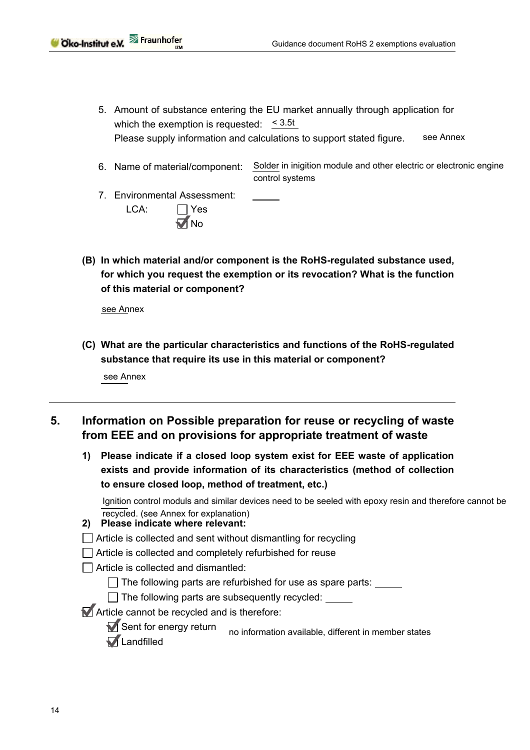- 5. Amount of substance entering the EU market annually through application for which the exemption is requested:  $\leq 3.5t$ Please supply information and calculations to support stated figure. see Annex
- 6. Name of material/component: Solder in inigition module and other electric or electronic engine control systems
- 7. Environmental Assessment: LCA: ∏ Yes  $\sqrt{N}$ No
- **(B) In which material and/or component is the RoHS-regulated substance used, for which you request the exemption or its revocation? What is the function of this material or component?**

see Annex

**(C) What are the particular characteristics and functions of the RoHS-regulated substance that require its use in this material or component?** 

see Annex

- **5. Information on Possible preparation for reuse or recycling of waste from EEE and on provisions for appropriate treatment of waste** 
	- **1) Please indicate if a closed loop system exist for EEE waste of application exists and provide information of its characteristics (method of collection to ensure closed loop, method of treatment, etc.)**

 Ignition control moduls and similar devices need to be seeled with epoxy resin and therefore cannot be recycled. (see Annex for explanation)

- **2) Please indicate where relevant:**
- Article is collected and sent without dismantling for recycling
- $\Box$  Article is collected and completely refurbished for reuse
- $\Box$  Article is collected and dismantled:

 $\Box$  The following parts are refurbished for use as spare parts:

The following parts are subsequently recycled:

Article cannot be recycled and is therefore:

 $\blacksquare$  Sent for energy return **M** Landfilled no information available, different in member states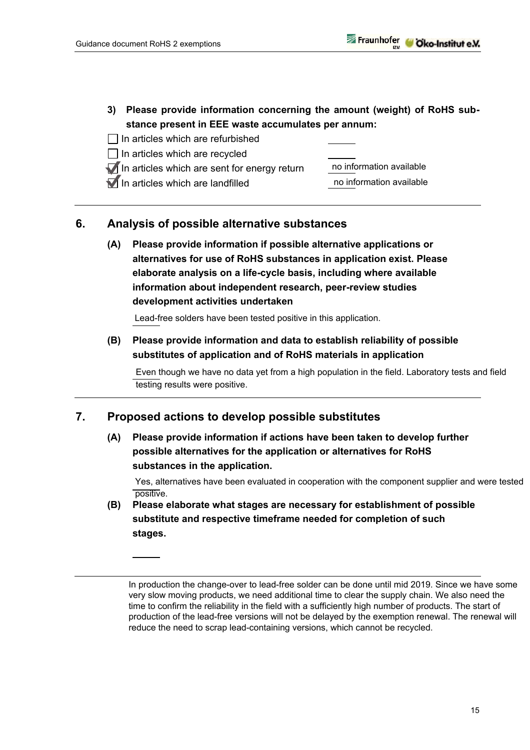$\overline{a}$ 

- **3) Please provide information concerning the amount (weight) of RoHS substance present in EEE waste accumulates per annum:**
- $\Box$  In articles which are refurbished
- $\Box$  In articles which are recycled
- $\blacksquare$  In articles which are sent for energy return
- $\nabla$  In articles which are landfilled



## **6. Analysis of possible alternative substances**

**(A) Please provide information if possible alternative applications or alternatives for use of RoHS substances in application exist. Please elaborate analysis on a life-cycle basis, including where available information about independent research, peer-review studies development activities undertaken** 

Lead-free solders have been tested positive in this application.

**(B) Please provide information and data to establish reliability of possible substitutes of application and of RoHS materials in application** 

 $\overline{a}$ Even though we have no data yet from a high population in the field. Laboratory tests and field testing results were positive.

### **7. Proposed actions to develop possible substitutes**

**(A) Please provide information if actions have been taken to develop further possible alternatives for the application or alternatives for RoHS substances in the application.** 

 Yes, alternatives have been evaluated in cooperation with the component supplier and were tested positive.

**(B) Please elaborate what stages are necessary for establishment of possible substitute and respective timeframe needed for completion of such stages.** 

In production the change-over to lead-free solder can be done until mid 2019. Since we have some very slow moving products, we need additional time to clear the supply chain. We also need the time to confirm the reliability in the field with a sufficiently high number of products. The start of production of the lead-free versions will not be delayed by the exemption renewal. The renewal will reduce the need to scrap lead-containing versions, which cannot be recycled.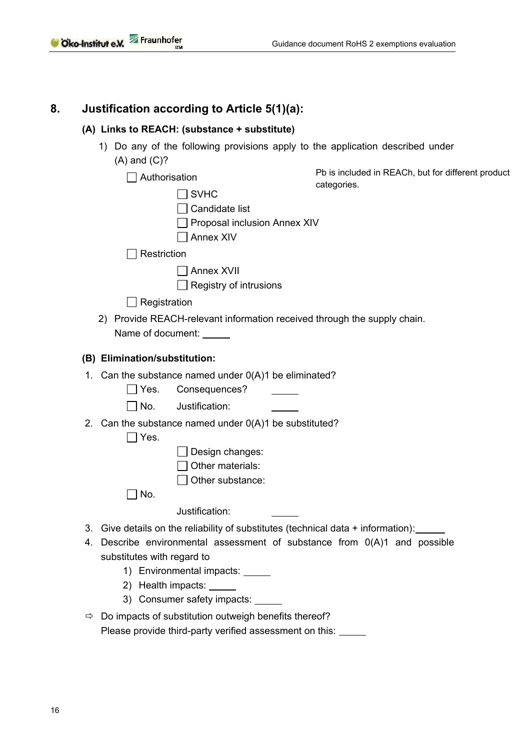## **8. Justification according to Article 5(1)(a):**

#### **(A) Links to REACH: (substance + substitute)**

1) Do any of the following provisions apply to the application described under (A) and (C)?

| Authorisation                                                           |                              | Pb is included in REACh, but for different product                             |  |
|-------------------------------------------------------------------------|------------------------------|--------------------------------------------------------------------------------|--|
| <b>SVHC</b>                                                             |                              | categories.                                                                    |  |
|                                                                         | Candidate list               |                                                                                |  |
|                                                                         | Proposal inclusion Annex XIV |                                                                                |  |
|                                                                         | <b>Annex XIV</b>             |                                                                                |  |
| Restriction                                                             |                              |                                                                                |  |
|                                                                         | <b>Annex XVII</b>            |                                                                                |  |
|                                                                         | Registry of intrusions       |                                                                                |  |
| Registration                                                            |                              |                                                                                |  |
|                                                                         |                              | 2) Provide REACH-relevant information received through the supply chain.       |  |
| Name of document:                                                       |                              |                                                                                |  |
|                                                                         |                              |                                                                                |  |
| (B) Elimination/substitution:                                           |                              |                                                                                |  |
| 1. Can the substance named under $O(A)1$ be eliminated?                 |                              |                                                                                |  |
| $\Box$ Yes.                                                             | Consequences?                |                                                                                |  |
| Justification:<br>$\Box$ No.                                            |                              |                                                                                |  |
| 2. Can the substance named under $O(A)1$ be substituted?<br>$\Box$ Yes. |                              |                                                                                |  |
|                                                                         | Design changes:              |                                                                                |  |
|                                                                         | Other materials:             |                                                                                |  |
|                                                                         | Other substance:             |                                                                                |  |
| $\Box$ No.                                                              |                              |                                                                                |  |
| Justification:                                                          |                              |                                                                                |  |
| 3.                                                                      |                              | Give details on the reliability of substitutes (technical data + information): |  |
|                                                                         |                              | 4. Describe environmental assessment of substance from 0(A)1 and possible      |  |
| substitutes with regard to                                              |                              |                                                                                |  |
| 1) Environmental impacts:                                               |                              |                                                                                |  |
| 2) Health impacts: ______                                               |                              |                                                                                |  |
| 3) Consumer safety impacts:                                             |                              |                                                                                |  |

 $\Rightarrow$  Do impacts of substitution outweigh benefits thereof? Please provide third-party verified assessment on this: \_\_\_\_\_